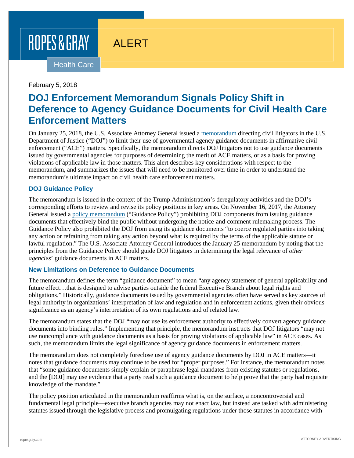# ROPES & GRAY

## ALERT

Health Care

February 5, 2018

## **DOJ Enforcement Memorandum Signals Policy Shift in Deference to Agency Guidance Documents for Civil Health Care Enforcement Matters**

On January 25, 2018, the U.S. Associate Attorney General issued a [memorandum](https://www.justice.gov/file/1028756/download) directing civil litigators in the U.S. Department of Justice ("DOJ") to limit their use of governmental agency guidance documents in affirmative civil enforcement ("ACE") matters. Specifically, the memorandum directs DOJ litigators not to use guidance documents issued by governmental agencies for purposes of determining the merit of ACE matters, or as a basis for proving violations of applicable law in those matters. This alert describes key considerations with respect to the memorandum, and summarizes the issues that will need to be monitored over time in order to understand the memorandum's ultimate impact on civil health care enforcement matters.

#### **DOJ Guidance Policy**

The memorandum is issued in the context of the Trump Administration's deregulatory activities and the DOJ's corresponding efforts to review and revise its policy positions in key areas. On November 16, 2017, the Attorney General issued a [policy memorandum](https://www.justice.gov/opa/press-release/file/1012271/download) ("Guidance Policy") prohibiting DOJ components from issuing guidance documents that effectively bind the public without undergoing the notice-and-comment rulemaking process. The Guidance Policy also prohibited the DOJ from using its guidance documents "to coerce regulated parties into taking any action or refraining from taking any action beyond what is required by the terms of the applicable statute or lawful regulation." The U.S. Associate Attorney General introduces the January 25 memorandum by noting that the principles from the Guidance Policy should guide DOJ litigators in determining the legal relevance of *other agencies*' guidance documents in ACE matters.

#### **New Limitations on Deference to Guidance Documents**

The memorandum defines the term "guidance document" to mean "any agency statement of general applicability and future effect…that is designed to advise parties outside the federal Executive Branch about legal rights and obligations." Historically, guidance documents issued by governmental agencies often have served as key sources of legal authority in organizations' interpretation of law and regulation and in enforcement actions, given their obvious significance as an agency's interpretation of its own regulations and of related law.

The memorandum states that the DOJ "may not use its enforcement authority to effectively convert agency guidance documents into binding rules." Implementing that principle, the memorandum instructs that DOJ litigators "may not use noncompliance with guidance documents as a basis for proving violations of applicable law" in ACE cases. As such, the memorandum limits the legal significance of agency guidance documents in enforcement matters.

The memorandum does not completely foreclose use of agency guidance documents by DOJ in ACE matters—it notes that guidance documents may continue to be used for "proper purposes." For instance, the memorandum notes that "some guidance documents simply explain or paraphrase legal mandates from existing statutes or regulations, and the [DOJ] may use evidence that a party read such a guidance document to help prove that the party had requisite knowledge of the mandate."

The policy position articulated in the memorandum reaffirms what is, on the surface, a noncontroversial and fundamental legal principle—executive branch agencies may not enact law, but instead are tasked with administering statutes issued through the legislative process and promulgating regulations under those statutes in accordance with